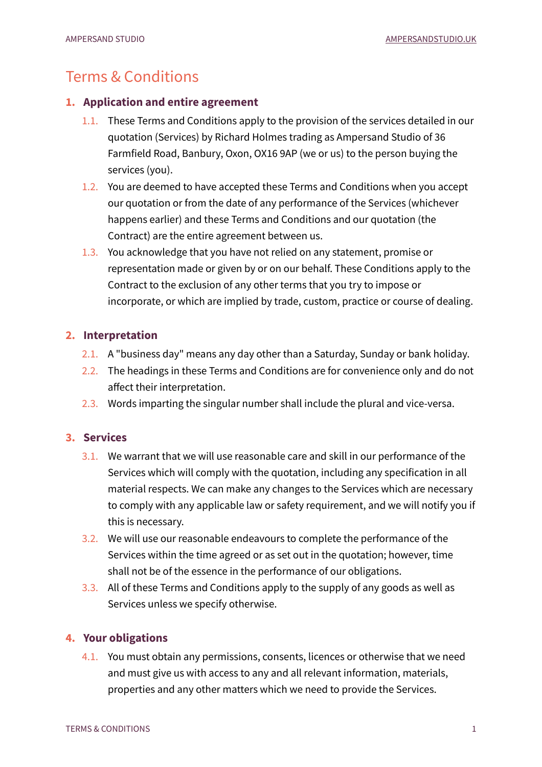# Terms & Conditions

## **1. Application and entire agreement**

- 1.1. These Terms and Conditions apply to the provision of the services detailed in our quotation (Services) by Richard Holmes trading as Ampersand Studio of 36 Farmfield Road, Banbury, Oxon, OX16 9AP (we or us) to the person buying the services (you).
- 1.2. You are deemed to have accepted these Terms and Conditions when you accept our quotation or from the date of any performance of the Services (whichever happens earlier) and these Terms and Conditions and our quotation (the Contract) are the entire agreement between us.
- 1.3. You acknowledge that you have not relied on any statement, promise or representation made or given by or on our behalf. These Conditions apply to the Contract to the exclusion of any other terms that you try to impose or incorporate, or which are implied by trade, custom, practice or course of dealing.

# **2. Interpretation**

- 2.1. A "business day" means any day other than a Saturday, Sunday or bank holiday.
- 2.2. The headings in these Terms and Conditions are for convenience only and do not affect their interpretation.
- 2.3. Words imparting the singular number shall include the plural and vice-versa.

# **3. Services**

- 3.1. We warrant that we will use reasonable care and skill in our performance of the Services which will comply with the quotation, including any specification in all material respects. We can make any changes to the Services which are necessary to comply with any applicable law or safety requirement, and we will notify you if this is necessary.
- 3.2. We will use our reasonable endeavours to complete the performance of the Services within the time agreed or as set out in the quotation; however, time shall not be of the essence in the performance of our obligations.
- 3.3. All of these Terms and Conditions apply to the supply of any goods as well as Services unless we specify otherwise.

# **4. Your obligations**

4.1. You must obtain any permissions, consents, licences or otherwise that we need and must give us with access to any and all relevant information, materials, properties and any other matters which we need to provide the Services.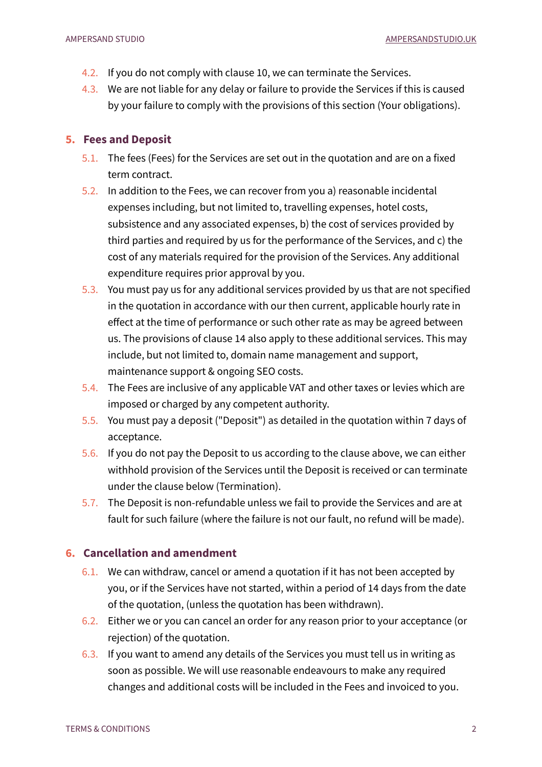- 4.2. If you do not comply with clause 10, we can terminate the Services.
- 4.3. We are not liable for any delay or failure to provide the Services if this is caused by your failure to comply with the provisions of this section (Your obligations).

#### **5. Fees and Deposit**

- 5.1. The fees (Fees) for the Services are set out in the quotation and are on a fixed term contract.
- 5.2. In addition to the Fees, we can recover from you a) reasonable incidental expenses including, but not limited to, travelling expenses, hotel costs, subsistence and any associated expenses, b) the cost of services provided by third parties and required by us for the performance of the Services, and c) the cost of any materials required for the provision of the Services. Any additional expenditure requires prior approval by you.
- 5.3. You must pay us for any additional services provided by us that are not specified in the quotation in accordance with our then current, applicable hourly rate in effect at the time of performance or such other rate as may be agreed between us. The provisions of clause 14 also apply to these additional services. This may include, but not limited to, domain name management and support, maintenance support & ongoing SEO costs.
- 5.4. The Fees are inclusive of any applicable VAT and other taxes or levies which are imposed or charged by any competent authority.
- 5.5. You must pay a deposit ("Deposit") as detailed in the quotation within 7 days of acceptance.
- 5.6. If you do not pay the Deposit to us according to the clause above, we can either withhold provision of the Services until the Deposit is received or can terminate under the clause below (Termination).
- 5.7. The Deposit is non-refundable unless we fail to provide the Services and are at fault for such failure (where the failure is not our fault, no refund will be made).

## **6. Cancellation and amendment**

- 6.1. We can withdraw, cancel or amend a quotation if it has not been accepted by you, or if the Services have not started, within a period of 14 days from the date of the quotation, (unless the quotation has been withdrawn).
- 6.2. Either we or you can cancel an order for any reason prior to your acceptance (or rejection) of the quotation.
- 6.3. If you want to amend any details of the Services you must tell us in writing as soon as possible. We will use reasonable endeavours to make any required changes and additional costs will be included in the Fees and invoiced to you.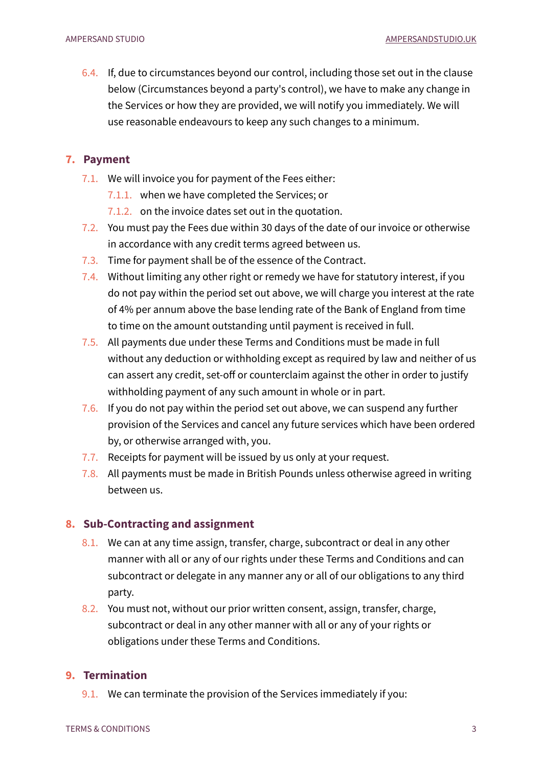6.4. If, due to circumstances beyond our control, including those set out in the clause below (Circumstances beyond a party's control), we have to make any change in the Services or how they are provided, we will notify you immediately. We will use reasonable endeavours to keep any such changes to a minimum.

#### **7. Payment**

- 7.1. We will invoice you for payment of the Fees either:
	- 7.1.1. when we have completed the Services; or
	- 7.1.2. on the invoice dates set out in the quotation.
- 7.2. You must pay the Fees due within 30 days of the date of our invoice or otherwise in accordance with any credit terms agreed between us.
- 7.3. Time for payment shall be of the essence of the Contract.
- 7.4. Without limiting any other right or remedy we have for statutory interest, if you do not pay within the period set out above, we will charge you interest at the rate of 4% per annum above the base lending rate of the Bank of England from time to time on the amount outstanding until payment is received in full.
- 7.5. All payments due under these Terms and Conditions must be made in full without any deduction or withholding except as required by law and neither of us can assert any credit, set-off or counterclaim against the other in order to justify withholding payment of any such amount in whole or in part.
- 7.6. If you do not pay within the period set out above, we can suspend any further provision of the Services and cancel any future services which have been ordered by, or otherwise arranged with, you.
- 7.7. Receipts for payment will be issued by us only at your request.
- 7.8. All payments must be made in British Pounds unless otherwise agreed in writing between us.

#### **8. Sub-Contracting and assignment**

- 8.1. We can at any time assign, transfer, charge, subcontract or deal in any other manner with all or any of our rights under these Terms and Conditions and can subcontract or delegate in any manner any or all of our obligations to any third party.
- 8.2. You must not, without our prior written consent, assign, transfer, charge, subcontract or deal in any other manner with all or any of your rights or obligations under these Terms and Conditions.

## **9. Termination**

9.1. We can terminate the provision of the Services immediately if you: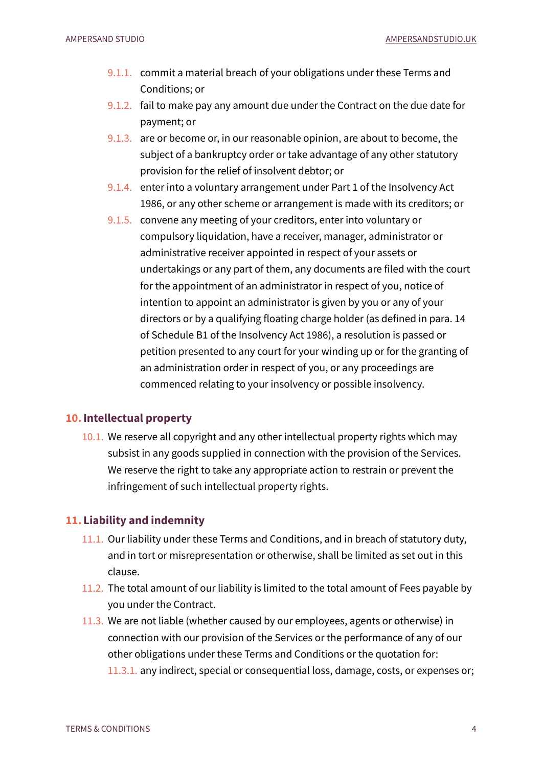- 9.1.1. commit a material breach of your obligations under these Terms and Conditions; or
- 9.1.2. fail to make pay any amount due under the Contract on the due date for payment; or
- 9.1.3. are or become or, in our reasonable opinion, are about to become, the subject of a bankruptcy order or take advantage of any other statutory provision for the relief of insolvent debtor; or
- 9.1.4. enter into a voluntary arrangement under Part 1 of the Insolvency Act 1986, or any other scheme or arrangement is made with its creditors; or
- 9.1.5. convene any meeting of your creditors, enter into voluntary or compulsory liquidation, have a receiver, manager, administrator or administrative receiver appointed in respect of your assets or undertakings or any part of them, any documents are filed with the court for the appointment of an administrator in respect of you, notice of intention to appoint an administrator is given by you or any of your directors or by a qualifying floating charge holder (as defined in para. 14 of Schedule B1 of the Insolvency Act 1986), a resolution is passed or petition presented to any court for your winding up or for the granting of an administration order in respect of you, or any proceedings are commenced relating to your insolvency or possible insolvency.

## **10.Intellectual property**

10.1. We reserve all copyright and any other intellectual property rights which may subsist in any goods supplied in connection with the provision of the Services. We reserve the right to take any appropriate action to restrain or prevent the infringement of such intellectual property rights.

#### **11. Liability and indemnity**

- 11.1. Our liability under these Terms and Conditions, and in breach of statutory duty, and in tort or misrepresentation or otherwise, shall be limited as set out in this clause.
- 11.2. The total amount of our liability is limited to the total amount of Fees payable by you under the Contract.
- 11.3. We are not liable (whether caused by our employees, agents or otherwise) in connection with our provision of the Services or the performance of any of our other obligations under these Terms and Conditions or the quotation for: 11.3.1. any indirect, special or consequential loss, damage, costs, or expenses or;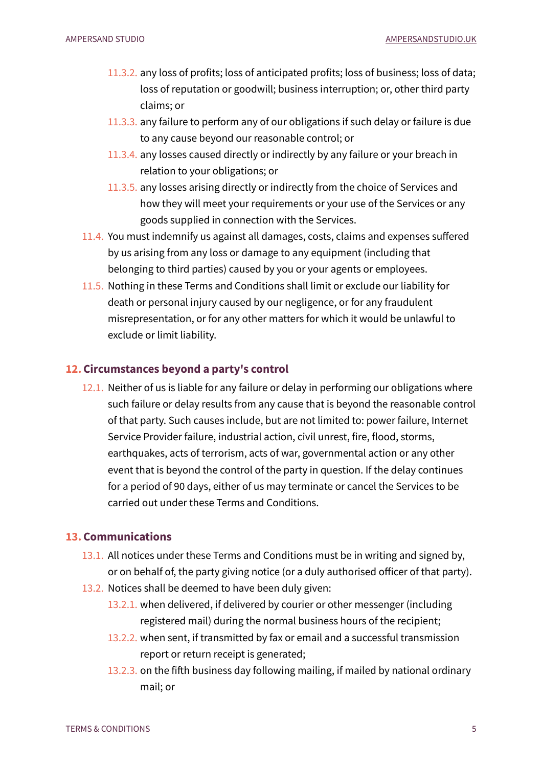- 11.3.2. any loss of profits; loss of anticipated profits; loss of business; loss of data; loss of reputation or goodwill; business interruption; or, other third party claims; or
- 11.3.3. any failure to perform any of our obligations if such delay or failure is due to any cause beyond our reasonable control; or
- 11.3.4. any losses caused directly or indirectly by any failure or your breach in relation to your obligations; or
- 11.3.5. any losses arising directly or indirectly from the choice of Services and how they will meet your requirements or your use of the Services or any goods supplied in connection with the Services.
- 11.4. You must indemnify us against all damages, costs, claims and expenses suffered by us arising from any loss or damage to any equipment (including that belonging to third parties) caused by you or your agents or employees.
- 11.5. Nothing in these Terms and Conditions shall limit or exclude our liability for death or personal injury caused by our negligence, or for any fraudulent misrepresentation, or for any other matters for which it would be unlawful to exclude or limit liability.

#### **12.Circumstances beyond a party's control**

12.1. Neither of us is liable for any failure or delay in performing our obligations where such failure or delay results from any cause that is beyond the reasonable control of that party. Such causes include, but are not limited to: power failure, Internet Service Provider failure, industrial action, civil unrest, fire, flood, storms, earthquakes, acts of terrorism, acts of war, governmental action or any other event that is beyond the control of the party in question. If the delay continues for a period of 90 days, either of us may terminate or cancel the Services to be carried out under these Terms and Conditions.

## **13.Communications**

- 13.1. All notices under these Terms and Conditions must be in writing and signed by, or on behalf of, the party giving notice (or a duly authorised officer of that party).
- 13.2. Notices shall be deemed to have been duly given:
	- 13.2.1. when delivered, if delivered by courier or other messenger (including registered mail) during the normal business hours of the recipient;
	- 13.2.2. when sent, if transmitted by fax or email and a successful transmission report or return receipt is generated;
	- 13.2.3. on the fifth business day following mailing, if mailed by national ordinary mail; or